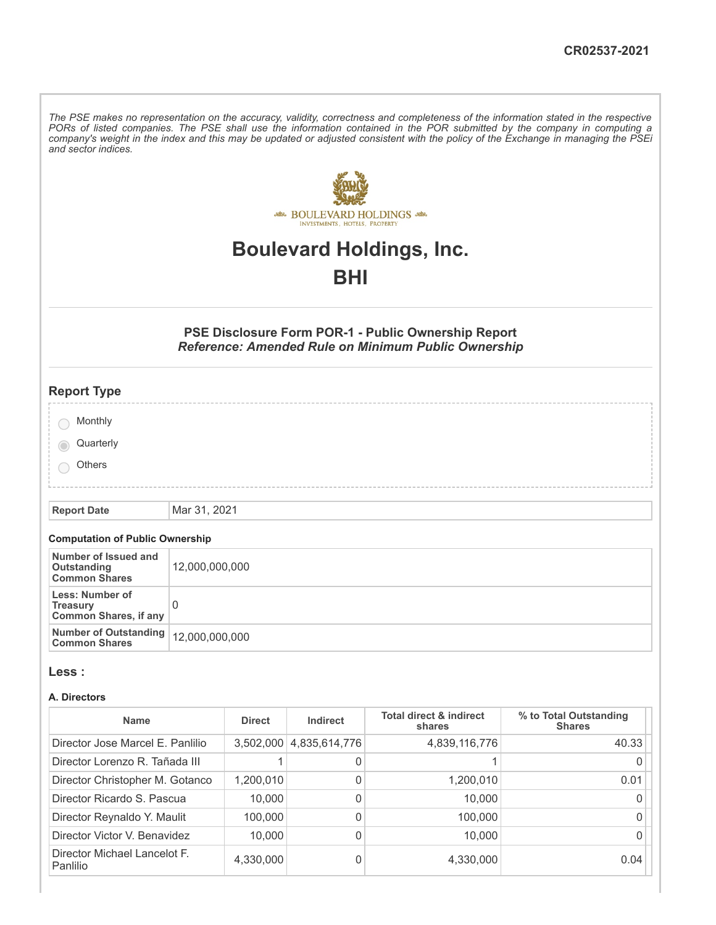The PSE makes no representation on the accuracy, validity, correctness and completeness of the information stated in the respective PORs of listed companies. The PSE shall use the information contained in the POR submitted by the company in computing a company's weight in the index and this may be updated or adjusted consistent with the policy of the Exchange in managing the PSEi *and sector indices.*



# **Boulevard Holdings, Inc.**

# **BHI**

## **PSE Disclosure Form POR-1 - Public Ownership Report** *Reference: Amended Rule on Minimum Public Ownership*

| <b>Report Type</b>                    |  |  |
|---------------------------------------|--|--|
|                                       |  |  |
| Monthly                               |  |  |
| Quarterly<br>$\overline{\phantom{a}}$ |  |  |
| Others                                |  |  |
|                                       |  |  |

**Report Date** Mar 31, 2021

#### **Computation of Public Ownership**

| Number of Issued and<br>Outstanding<br><b>Common Shares</b>        | 12,000,000,000 |
|--------------------------------------------------------------------|----------------|
| Less: Number of<br><b>Treasury</b><br><b>Common Shares, if any</b> |                |
| Number of Outstanding   12,000,000,000<br><b>Common Shares</b>     |                |

#### **Less :**

#### **A. Directors**

| <b>Name</b>                                     | <b>Direct</b> | Indirect      | <b>Total direct &amp; indirect</b><br>shares | % to Total Outstanding<br><b>Shares</b> |
|-------------------------------------------------|---------------|---------------|----------------------------------------------|-----------------------------------------|
| Director Jose Marcel E. Panlilio                | 3,502,000     | 4,835,614,776 | 4,839,116,776                                | 40.33                                   |
| Director Lorenzo R. Tañada III                  |               | 0             |                                              |                                         |
| Director Christopher M. Gotanco                 | 1,200,010     | 0             | 1,200,010                                    | 0.01                                    |
| Director Ricardo S. Pascua                      | 10,000        | 0             | 10,000                                       |                                         |
| Director Reynaldo Y. Maulit                     | 100,000       | 0             | 100,000                                      |                                         |
| Director Victor V. Benavidez                    | 10,000        | 0             | 10,000                                       |                                         |
| Director Michael Lancelot F.<br><b>Panlilio</b> | 4,330,000     | 0             | 4,330,000                                    | 0.04                                    |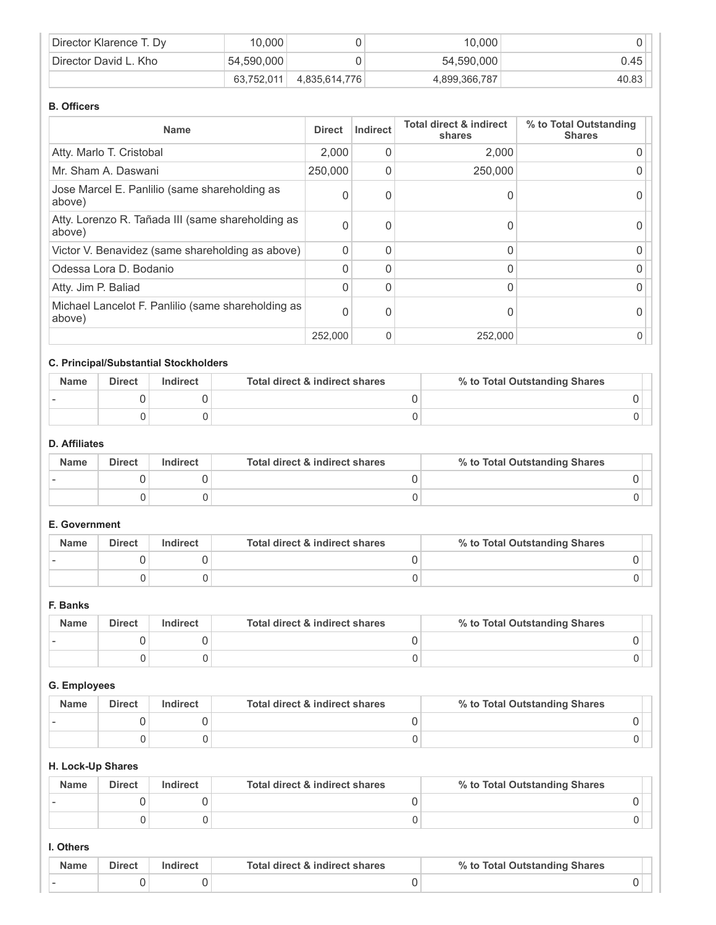| Director Klarence T. Dy            | 10,000     |               | 10.000        |       |
|------------------------------------|------------|---------------|---------------|-------|
| <sup>1</sup> Director David L. Kho | 54.590.000 |               | 54,590,000    | 0.45  |
|                                    | 63,752,011 | 4,835,614,776 | 4,899,366,787 | 40.83 |

#### **B. Officers**

| <b>Name</b>                                                  | <b>Direct</b> | <b>Indirect</b> | <b>Total direct &amp; indirect</b><br>shares | % to Total Outstanding<br><b>Shares</b> |
|--------------------------------------------------------------|---------------|-----------------|----------------------------------------------|-----------------------------------------|
| Atty. Marlo T. Cristobal                                     | 2,000         | 0               | 2,000                                        |                                         |
| Mr. Sham A. Daswani                                          | 250,000       | 0               | 250,000                                      |                                         |
| Jose Marcel E. Panlilio (same shareholding as<br>above)      | $\Omega$      | 0               |                                              |                                         |
| Atty. Lorenzo R. Tañada III (same shareholding as<br>above)  | $\Omega$      | 0               |                                              |                                         |
| Victor V. Benavidez (same shareholding as above)             | $\Omega$      | 0               |                                              |                                         |
| Odessa Lora D. Bodanio                                       | $\Omega$      | 0               |                                              |                                         |
| Atty. Jim P. Baliad                                          | $\Omega$      | 0               |                                              |                                         |
| Michael Lancelot F. Panlilio (same shareholding as<br>above) | $\Omega$      | 0               |                                              |                                         |
|                                                              | 252,000       | 0               | 252,000                                      |                                         |

## **C. Principal/Substantial Stockholders**

| <b>Name</b> | <b>Direct</b> | Indirect | Total direct & indirect shares | % to Total Outstanding Shares |  |
|-------------|---------------|----------|--------------------------------|-------------------------------|--|
| $\sim$      |               |          |                                |                               |  |
|             |               |          |                                |                               |  |

# **D. Affiliates**

| <b>Name</b> | <b>Direct</b> | Indirect | Total direct & indirect shares | % to Total Outstanding Shares |
|-------------|---------------|----------|--------------------------------|-------------------------------|
|             |               |          |                                |                               |
|             |               |          |                                |                               |

## **E. Government**

| <b>Name</b> | <b>Direct</b> | Indirect | Total direct & indirect shares | % to Total Outstanding Shares |
|-------------|---------------|----------|--------------------------------|-------------------------------|
|             |               |          |                                |                               |
|             |               |          |                                |                               |

#### **F. Banks**

| <b>Name</b> | <b>Direct</b> | Indirect | Total direct & indirect shares | % to Total Outstanding Shares |
|-------------|---------------|----------|--------------------------------|-------------------------------|
|             |               |          |                                |                               |
|             |               |          |                                |                               |

# **G. Employees**

| <b>Name</b> | <b>Direct</b> | Indirect | Total direct & indirect shares | % to Total Outstanding Shares |
|-------------|---------------|----------|--------------------------------|-------------------------------|
|             |               |          |                                |                               |
|             |               |          |                                |                               |

#### **H. Lock-Up Shares**

| <b>Name</b> | <b>Direct</b> | Indirect | Total direct & indirect shares | % to Total Outstanding Shares |
|-------------|---------------|----------|--------------------------------|-------------------------------|
|             |               |          |                                |                               |
|             |               |          |                                |                               |

#### **I. Others**

| <b>Name</b> | Direct | Indirect | Total direct & indirect shares | % to Total Outstanding Shares |  |
|-------------|--------|----------|--------------------------------|-------------------------------|--|
|             |        |          |                                |                               |  |